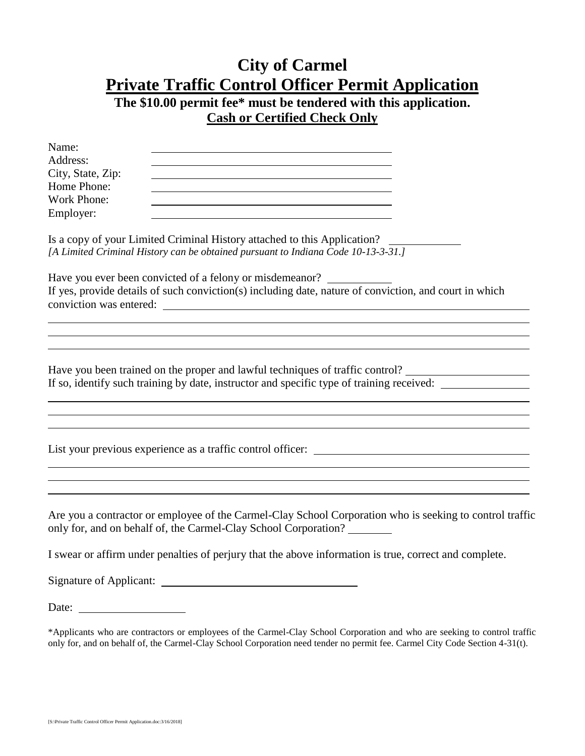## **City of Carmel Private Traffic Control Officer Permit Application The \$10.00 permit fee\* must be tendered with this application.**

## **Cash or Certified Check Only**

| Name:                   |                                                                                                                                                               |
|-------------------------|---------------------------------------------------------------------------------------------------------------------------------------------------------------|
| Address:                |                                                                                                                                                               |
| City, State, Zip:       |                                                                                                                                                               |
| Home Phone:             |                                                                                                                                                               |
| Work Phone:             |                                                                                                                                                               |
| Employer:               |                                                                                                                                                               |
|                         | Is a copy of your Limited Criminal History attached to this Application?<br>[A Limited Criminal History can be obtained pursuant to Indiana Code 10-13-3-31.] |
|                         | Have you ever been convicted of a felony or misdemeanor?                                                                                                      |
| conviction was entered: | If yes, provide details of such conviction(s) including date, nature of conviction, and court in which                                                        |
|                         |                                                                                                                                                               |

Have you been trained on the proper and lawful techniques of traffic control? If so, identify such training by date, instructor and specific type of training received:

List your previous experience as a traffic control officer:

Are you a contractor or employee of the Carmel-Clay School Corporation who is seeking to control traffic only for, and on behalf of, the Carmel-Clay School Corporation?

I swear or affirm under penalties of perjury that the above information is true, correct and complete.

Signature of Applicant:

Date:

<sup>\*</sup>Applicants who are contractors or employees of the Carmel-Clay School Corporation and who are seeking to control traffic only for, and on behalf of, the Carmel-Clay School Corporation need tender no permit fee. Carmel City Code Section 4-31(t).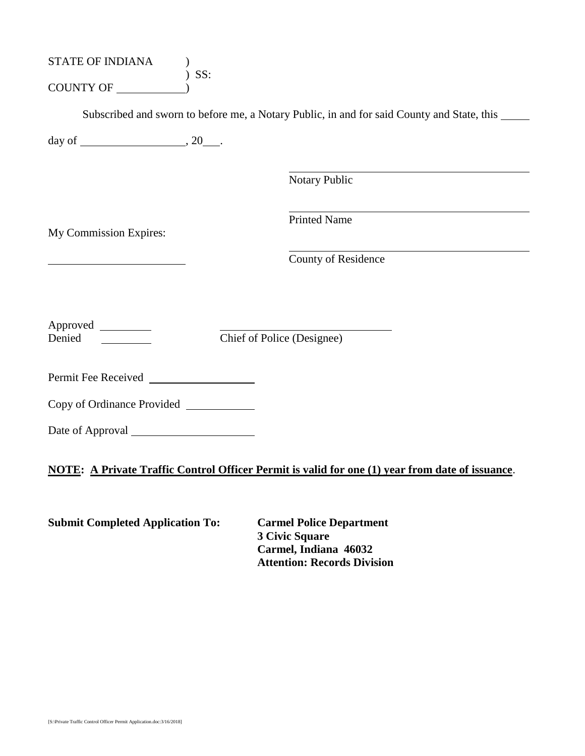| STATE OF INDIANA<br>COUNTY OF           | $)$ SS: |                                                                                                 |
|-----------------------------------------|---------|-------------------------------------------------------------------------------------------------|
|                                         |         | Subscribed and sworn to before me, a Notary Public, in and for said County and State, this      |
|                                         |         |                                                                                                 |
|                                         |         | Notary Public                                                                                   |
| My Commission Expires:                  |         | <b>Printed Name</b>                                                                             |
|                                         |         | County of Residence                                                                             |
| Approved<br>Denied                      |         | Chief of Police (Designee)                                                                      |
| Permit Fee Received                     |         |                                                                                                 |
|                                         |         |                                                                                                 |
|                                         |         |                                                                                                 |
|                                         |         | NOTE: A Private Traffic Control Officer Permit is valid for one (1) year from date of issuance. |
| <b>Submit Completed Application To:</b> |         | <b>Carmel Police Department</b>                                                                 |

**3 Civic Square Carmel, Indiana 46032 Attention: Records Division**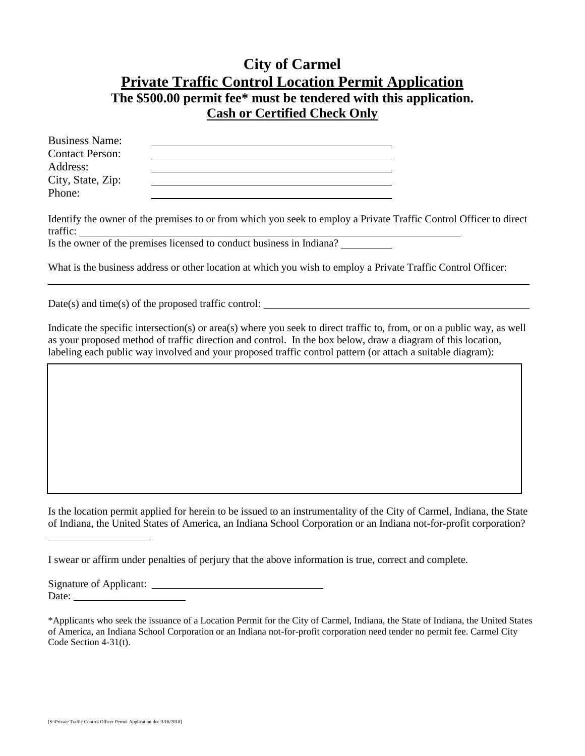## **City of Carmel Private Traffic Control Location Permit Application The \$500.00 permit fee\* must be tendered with this application. Cash or Certified Check Only**

| <b>Business Name:</b>  |  |
|------------------------|--|
| <b>Contact Person:</b> |  |
| Address:               |  |
| City, State, Zip:      |  |
| Phone:                 |  |

Identify the owner of the premises to or from which you seek to employ a Private Traffic Control Officer to direct traffic:

Is the owner of the premises licensed to conduct business in Indiana?

What is the business address or other location at which you wish to employ a Private Traffic Control Officer:

 $Date(s)$  and time(s) of the proposed traffic control:

Indicate the specific intersection(s) or area(s) where you seek to direct traffic to, from, or on a public way, as well as your proposed method of traffic direction and control. In the box below, draw a diagram of this location, labeling each public way involved and your proposed traffic control pattern (or attach a suitable diagram):

Is the location permit applied for herein to be issued to an instrumentality of the City of Carmel, Indiana, the State of Indiana, the United States of America, an Indiana School Corporation or an Indiana not-for-profit corporation?

I swear or affirm under penalties of perjury that the above information is true, correct and complete.

Signature of Applicant: Date:

<sup>\*</sup>Applicants who seek the issuance of a Location Permit for the City of Carmel, Indiana, the State of Indiana, the United States of America, an Indiana School Corporation or an Indiana not-for-profit corporation need tender no permit fee. Carmel City Code Section 4-31(t).